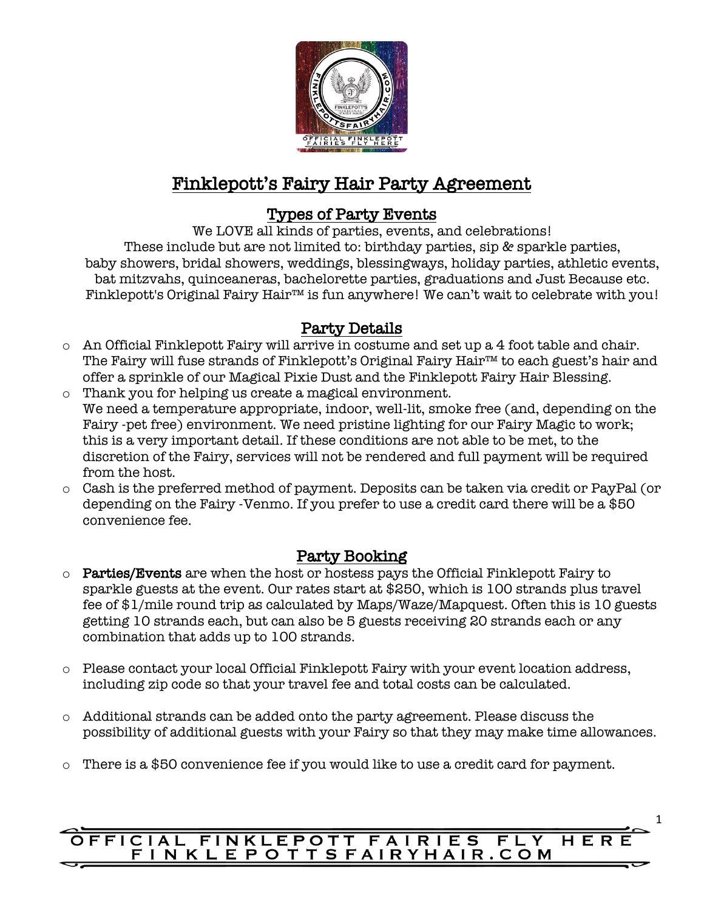

# Finklepott's Fairy Hair Party Agreement

# Types of Party Events

We LOVE all kinds of parties, events, and celebrations! These include but are not limited to: birthday parties, sip & sparkle parties, baby showers, bridal showers, weddings, blessingways, holiday parties, athletic events, bat mitzvahs, quinceaneras, bachelorette parties, graduations and Just Because etc. Finklepott's Original Fairy Hair™ is fun anywhere! We can't wait to celebrate with you!

## Party Details

- o An Official Finklepott Fairy will arrive in costume and set up a 4 foot table and chair. The Fairy will fuse strands of Finklepott's Original Fairy Hair™ to each guest's hair and offer a sprinkle of our Magical Pixie Dust and the Finklepott Fairy Hair Blessing.
- o Thank you for helping us create a magical environment. We need a temperature appropriate, indoor, well-lit, smoke free (and, depending on the Fairy -pet free) environment. We need pristine lighting for our Fairy Magic to work; this is a very important detail. If these conditions are not able to be met, to the discretion of the Fairy, services will not be rendered and full payment will be required from the host.
- o Cash is the preferred method of payment. Deposits can be taken via credit or PayPal (or depending on the Fairy -Venmo. If you prefer to use a credit card there will be a \$50 convenience fee.

## Party Booking

- o Parties/Events are when the host or hostess pays the Official Finklepott Fairy to sparkle guests at the event. Our rates start at \$250, which is 100 strands plus travel fee of \$1/mile round trip as calculated by Maps/Waze/Mapquest. Often this is 10 guests getting 10 strands each, but can also be 5 guests receiving 20 strands each or any combination that adds up to 100 strands.
- o Please contact your local Official Finklepott Fairy with your event location address, including zip code so that your travel fee and total costs can be calculated.
- o Additional strands can be added onto the party agreement. Please discuss the possibility of additional guests with your Fairy so that they may make time allowances.
- o There is a \$50 convenience fee if you would like to use a credit card for payment.

#### OFFICIAL FINKLEPOTT FAIRIES FLY HER FINKLEPOTTSFAIRYHAIR.COM

1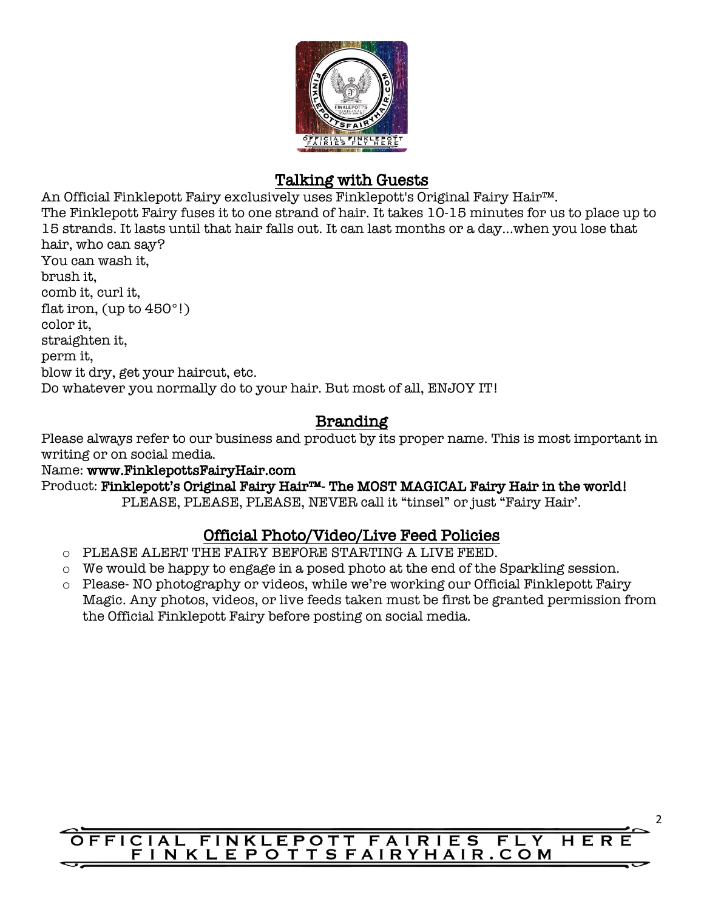

### Talking with Guests

An Official Finklepott Fairy exclusively uses Finklepott's Original Fairy Hair™. The Finklepott Fairy fuses it to one strand of hair. It takes 10-15 minutes for us to place up to 15 strands. It lasts until that hair falls out. It can last months or a day...when you lose that hair, who can say? You can wash it, brush it, comb it, curl it, flat iron, (up to 450°!) color it, straighten it, perm it, blow it dry, get your haircut, etc. Do whatever you normally do to your hair. But most of all, ENJOY IT!

## Branding

Please always refer to our business and product by its proper name. This is most important in writing or on social media.

Name: www.FinklepottsFairyHair.com Product: Finklepott's Original Fairy Hair™- The MOST MAGICAL Fairy Hair in the world! PLEASE, PLEASE, PLEASE, NEVER call it "tinsel" or just "Fairy Hair'.

# Official Photo/Video/Live Feed Policies

- o PLEASE ALERT THE FAIRY BEFORE STARTING A LIVE FEED.
- o We would be happy to engage in a posed photo at the end of the Sparkling session.
- o Please- NO photography or videos, while we're working our Official Finklepott Fairy Magic. Any photos, videos, or live feeds taken must be first be granted permission from the Official Finklepott Fairy before posting on social media.

#### **FFICIAL FINKLEPOTT FAIRIES**  $FLY$ HER FINKLEPOTTSFAIRYHAIR.COM

2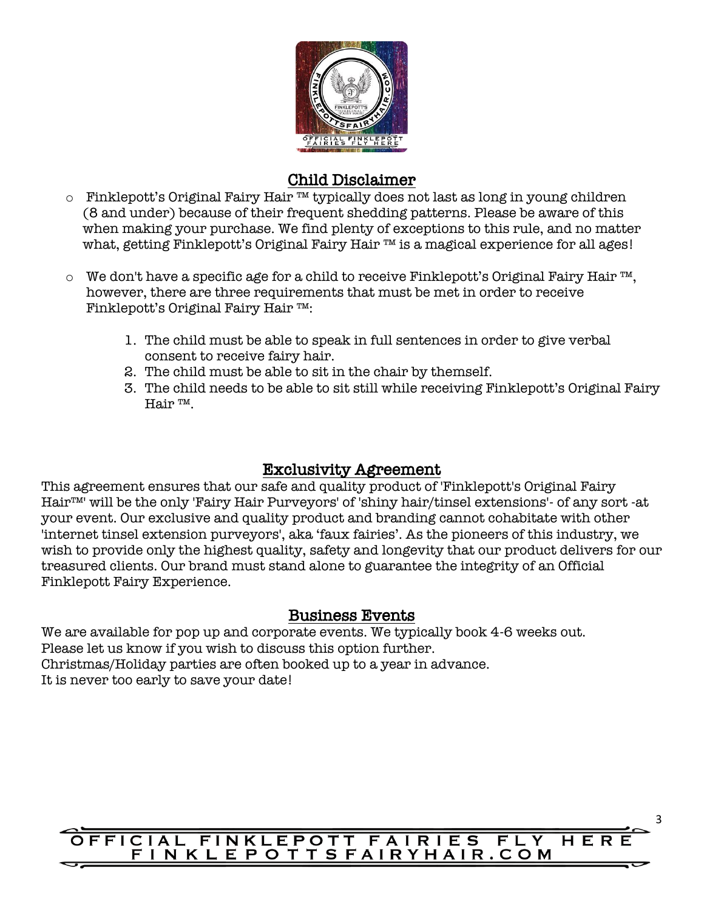

### Child Disclaimer

- o Finklepott's Original Fairy Hair ™ typically does not last as long in young children (8 and under) because of their frequent shedding patterns. Please be aware of this when making your purchase. We find plenty of exceptions to this rule, and no matter what, getting Finklepott's Original Fairy Hair ™ is a magical experience for all ages!
- o We don't have a specific age for a child to receive Finklepott's Original Fairy Hair ™, however, there are three requirements that must be met in order to receive Finklepott's Original Fairy Hair ™:
	- 1. The child must be able to speak in full sentences in order to give verbal consent to receive fairy hair.
	- 2. The child must be able to sit in the chair by themself.
	- 3. The child needs to be able to sit still while receiving Finklepott's Original Fairy Hair ™.

## Exclusivity Agreement

This agreement ensures that our safe and quality product of 'Finklepott's Original Fairy Hair™' will be the only 'Fairy Hair Purveyors' of 'shiny hair/tinsel extensions'- of any sort -at your event. Our exclusive and quality product and branding cannot cohabitate with other 'internet tinsel extension purveyors', aka 'faux fairies'. As the pioneers of this industry, we wish to provide only the highest quality, safety and longevity that our product delivers for our treasured clients. Our brand must stand alone to guarantee the integrity of an Official Finklepott Fairy Experience.

## Business Events

We are available for pop up and corporate events. We typically book 4-6 weeks out. Please let us know if you wish to discuss this option further. Christmas/Holiday parties are often booked up to a year in advance. It is never too early to save your date!

#### **FFICIAL FINKLEPOTT FAIRIES**  $FLY$ HER FINKLEPOTTSFAIRYHAIR.COM

3